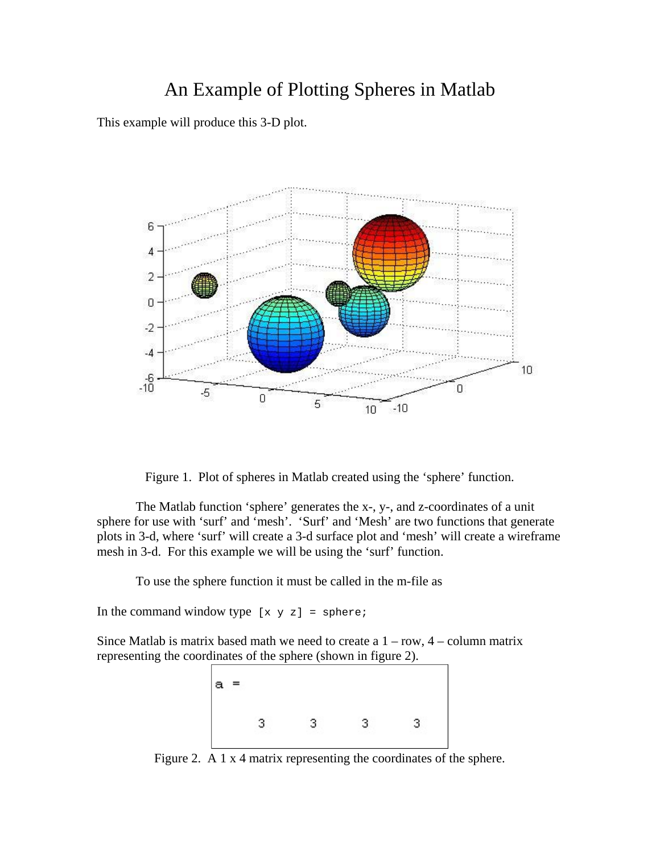## An Example of Plotting Spheres in Matlab

This example will produce this 3-D plot.



Figure 1. Plot of spheres in Matlab created using the 'sphere' function.

The Matlab function 'sphere' generates the x-, y-, and z-coordinates of a unit sphere for use with 'surf' and 'mesh'. 'Surf' and 'Mesh' are two functions that generate plots in 3-d, where 'surf' will create a 3-d surface plot and 'mesh' will create a wireframe mesh in 3-d. For this example we will be using the 'surf' function.

To use the sphere function it must be called in the m-file as

In the command window type  $[x \ y \ z] =$  sphere;

Since Matlab is matrix based math we need to create a  $1 - row$ ,  $4 - column$  matrix representing the coordinates of the sphere (shown in figure 2).



Figure 2. A 1 x 4 matrix representing the coordinates of the sphere.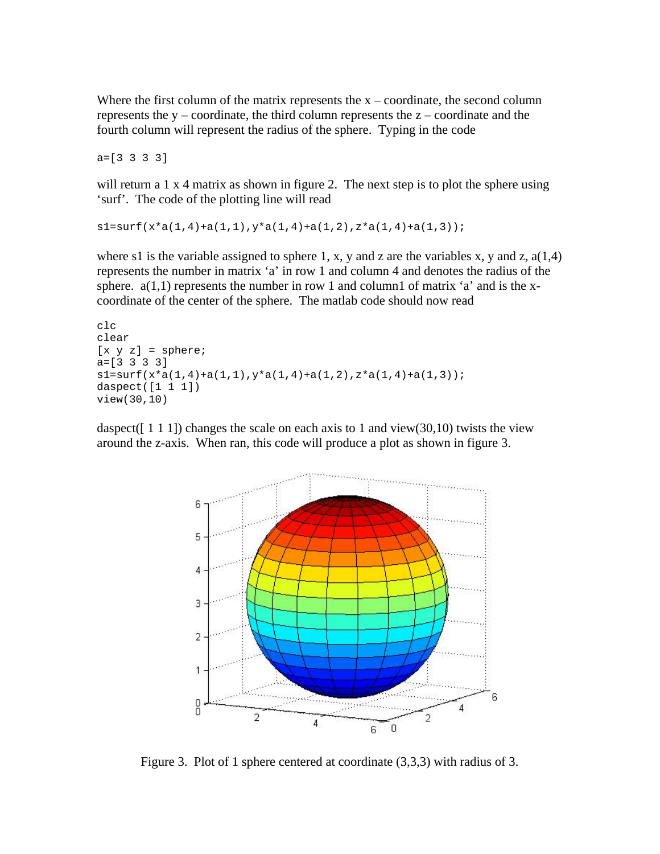Where the first column of the matrix represents the  $x -$  coordinate, the second column represents the  $y -$ coordinate, the third column represents the  $z -$ coordinate and the fourth column will represent the radius of the sphere. Typing in the code

a=[3 3 3 3]

will return a  $1 \times 4$  matrix as shown in figure 2. The next step is to plot the sphere using 'surf'. The code of the plotting line will read

 $s1=$ surf(x\*a(1,4)+a(1,1),y\*a(1,4)+a(1,2),z\*a(1,4)+a(1,3));

where s1 is the variable assigned to sphere 1, x, y and z are the variables x, y and z,  $a(1,4)$ represents the number in matrix 'a' in row 1 and column 4 and denotes the radius of the sphere.  $a(1,1)$  represents the number in row 1 and column1 of matrix 'a' and is the xcoordinate of the center of the sphere. The matlab code should now read

```
clc 
clear 
[x \ y \ z] = sphere;a=[3 3 3 3]
s1 = surf(x*a(1,4)+a(1,1),y*a(1,4)+a(1,2),z*a(1,4)+a(1,3));daspect([1 1 1])view(30,10)
```
daspect( $[1\ 1\ 1]$ ) changes the scale on each axis to 1 and view $(30,10)$  twists the view around the z-axis. When ran, this code will produce a plot as shown in figure 3.



Figure 3. Plot of 1 sphere centered at coordinate (3,3,3) with radius of 3.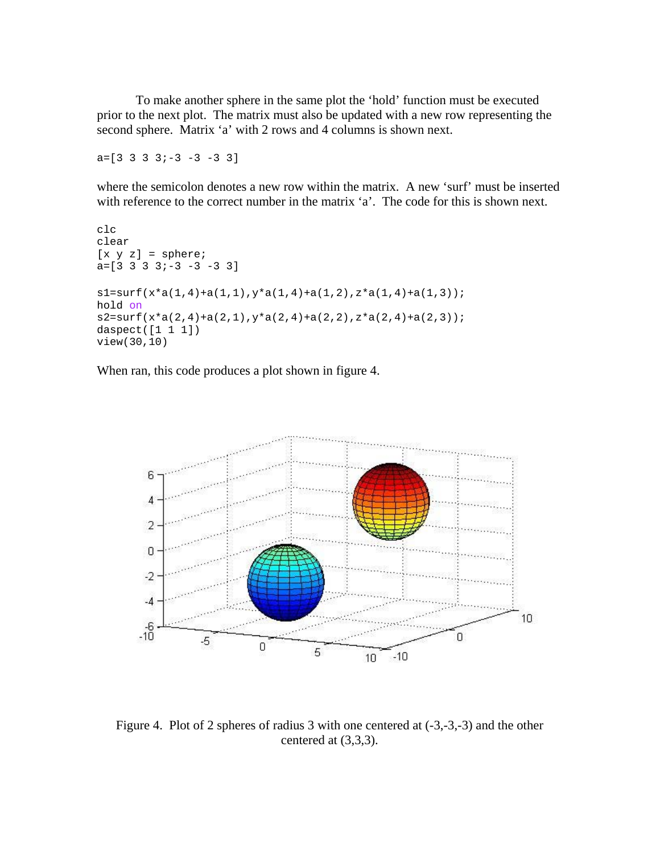To make another sphere in the same plot the 'hold' function must be executed prior to the next plot. The matrix must also be updated with a new row representing the second sphere. Matrix 'a' with 2 rows and 4 columns is shown next.

 $a=[3 \ 3 \ 3 \ 3 \ -3 \ -3 \ -3 \ 3]$ 

where the semicolon denotes a new row within the matrix. A new 'surf' must be inserted with reference to the correct number in the matrix 'a'. The code for this is shown next.

```
clc 
clear 
[x \ y \ z] = sphere;a=[3 \ 3 \ 3 \ 3 \ -3 \ -3 \ -3 \ 3]sl=surf(x*a(1,4)+a(1,1),y*a(1,4)+a(1,2),z*a(1,4)+a(1,3));
hold on
s2=surf(x*a(2,4)+a(2,1),y*a(2,4)+a(2,2),z*a(2,4)+a(2,3));
daspect([1 1 1])view(30,10)
```
When ran, this code produces a plot shown in figure 4.



Figure 4. Plot of 2 spheres of radius 3 with one centered at (-3,-3,-3) and the other centered at (3,3,3).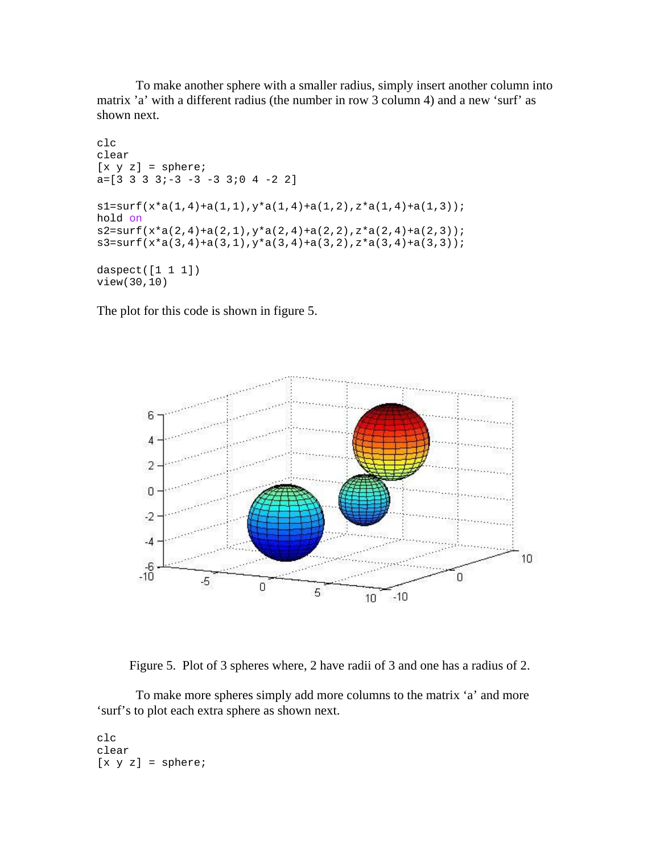To make another sphere with a smaller radius, simply insert another column into matrix 'a' with a different radius (the number in row 3 column 4) and a new 'surf' as shown next.

```
clc 
clear 
[x \ y \ z] = sphere;a=[3 3 3 3 i-3 -3 -3 3 i0 4 -2 2]s1=surf(x*a(1,4)+a(1,1),y*a(1,4)+a(1,2),z*a(1,4)+a(1,3));
hold on
s2=surf(x*a(2,4)+a(2,1),y*a(2,4)+a(2,2),z*a(2,4)+a(2,3));
s3=surf(x*a(3,4)+a(3,1),y*a(3,4)+a(3,2),z*a(3,4)+a(3,3));
daspect([1 1 1])view(30,10)
```
The plot for this code is shown in figure 5.



Figure 5. Plot of 3 spheres where, 2 have radii of 3 and one has a radius of 2.

 To make more spheres simply add more columns to the matrix 'a' and more 'surf's to plot each extra sphere as shown next.

clc clear  $[x \ y \ z] = sphere;$